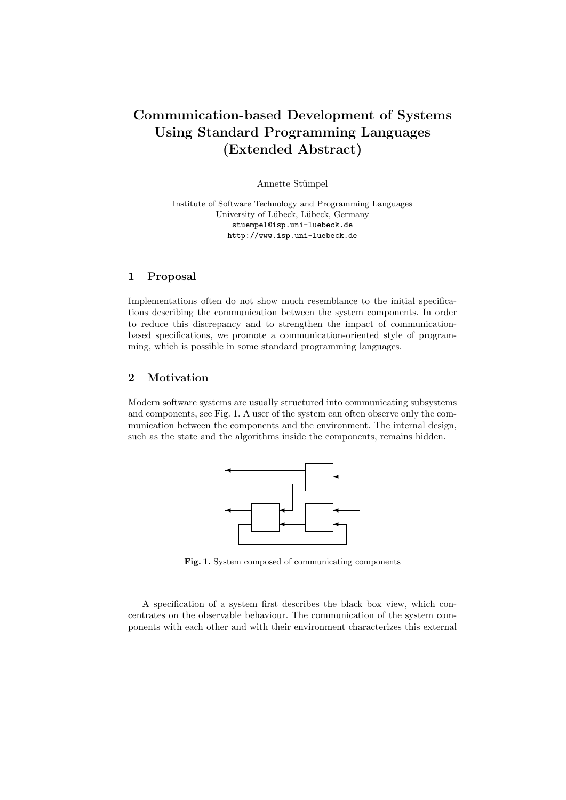# Communication-based Development of Systems Using Standard Programming Languages (Extended Abstract)

Annette Stümpel

Institute of Software Technology and Programming Languages University of Lübeck, Lübeck, Germany stuempel@isp.uni-luebeck.de http://www.isp.uni-luebeck.de

### 1 Proposal

Implementations often do not show much resemblance to the initial specifications describing the communication between the system components. In order to reduce this discrepancy and to strengthen the impact of communicationbased specifications, we promote a communication-oriented style of programming, which is possible in some standard programming languages.

## 2 Motivation

Modern software systems are usually structured into communicating subsystems and components, see Fig. 1. A user of the system can often observe only the communication between the components and the environment. The internal design, such as the state and the algorithms inside the components, remains hidden.



Fig. 1. System composed of communicating components

A specification of a system first describes the black box view, which concentrates on the observable behaviour. The communication of the system components with each other and with their environment characterizes this external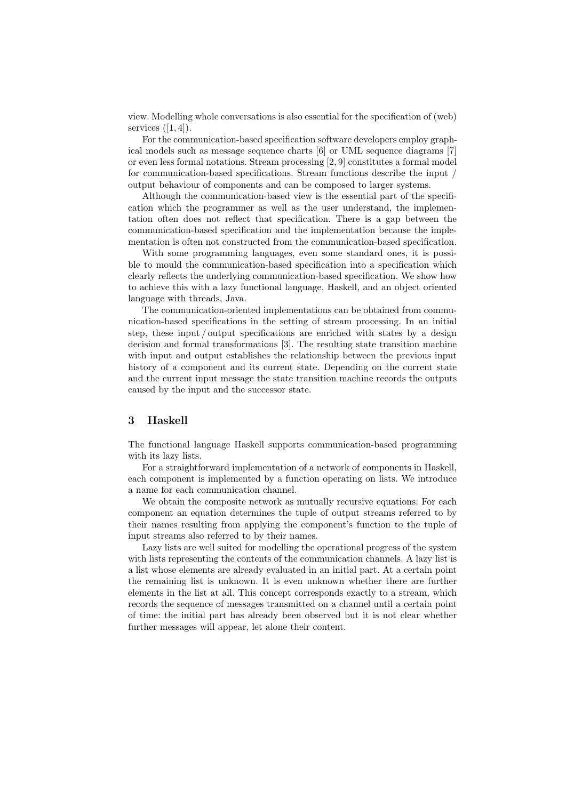view. Modelling whole conversations is also essential for the specification of (web) services  $([1, 4])$ .

For the communication-based specification software developers employ graphical models such as message sequence charts [6] or UML sequence diagrams [7] or even less formal notations. Stream processing [2, 9] constitutes a formal model for communication-based specifications. Stream functions describe the input / output behaviour of components and can be composed to larger systems.

Although the communication-based view is the essential part of the specification which the programmer as well as the user understand, the implementation often does not reflect that specification. There is a gap between the communication-based specification and the implementation because the implementation is often not constructed from the communication-based specification.

With some programming languages, even some standard ones, it is possible to mould the communication-based specification into a specification which clearly reflects the underlying communication-based specification. We show how to achieve this with a lazy functional language, Haskell, and an object oriented language with threads, Java.

The communication-oriented implementations can be obtained from communication-based specifications in the setting of stream processing. In an initial step, these input / output specifications are enriched with states by a design decision and formal transformations [3]. The resulting state transition machine with input and output establishes the relationship between the previous input history of a component and its current state. Depending on the current state and the current input message the state transition machine records the outputs caused by the input and the successor state.

### 3 Haskell

The functional language Haskell supports communication-based programming with its lazy lists.

For a straightforward implementation of a network of components in Haskell, each component is implemented by a function operating on lists. We introduce a name for each communication channel.

We obtain the composite network as mutually recursive equations: For each component an equation determines the tuple of output streams referred to by their names resulting from applying the component's function to the tuple of input streams also referred to by their names.

Lazy lists are well suited for modelling the operational progress of the system with lists representing the contents of the communication channels. A lazy list is a list whose elements are already evaluated in an initial part. At a certain point the remaining list is unknown. It is even unknown whether there are further elements in the list at all. This concept corresponds exactly to a stream, which records the sequence of messages transmitted on a channel until a certain point of time: the initial part has already been observed but it is not clear whether further messages will appear, let alone their content.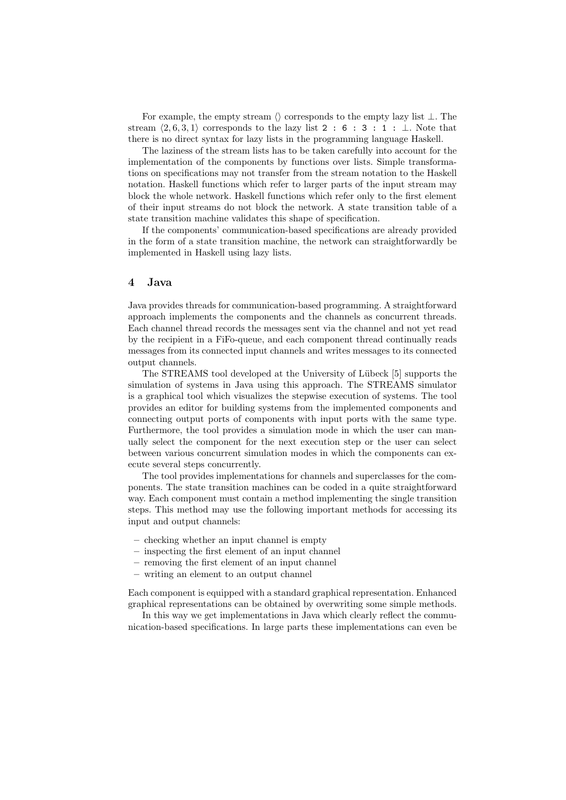For example, the empty stream  $\langle \rangle$  corresponds to the empty lazy list  $\bot$ . The stream  $\langle 2, 6, 3, 1 \rangle$  corresponds to the lazy list 2 : 6 : 3 : 1 : ⊥. Note that there is no direct syntax for lazy lists in the programming language Haskell.

The laziness of the stream lists has to be taken carefully into account for the implementation of the components by functions over lists. Simple transformations on specifications may not transfer from the stream notation to the Haskell notation. Haskell functions which refer to larger parts of the input stream may block the whole network. Haskell functions which refer only to the first element of their input streams do not block the network. A state transition table of a state transition machine validates this shape of specification.

If the components' communication-based specifications are already provided in the form of a state transition machine, the network can straightforwardly be implemented in Haskell using lazy lists.

#### 4 Java

Java provides threads for communication-based programming. A straightforward approach implements the components and the channels as concurrent threads. Each channel thread records the messages sent via the channel and not yet read by the recipient in a FiFo-queue, and each component thread continually reads messages from its connected input channels and writes messages to its connected output channels.

The STREAMS tool developed at the University of Lübeck [5] supports the simulation of systems in Java using this approach. The STREAMS simulator is a graphical tool which visualizes the stepwise execution of systems. The tool provides an editor for building systems from the implemented components and connecting output ports of components with input ports with the same type. Furthermore, the tool provides a simulation mode in which the user can manually select the component for the next execution step or the user can select between various concurrent simulation modes in which the components can execute several steps concurrently.

The tool provides implementations for channels and superclasses for the components. The state transition machines can be coded in a quite straightforward way. Each component must contain a method implementing the single transition steps. This method may use the following important methods for accessing its input and output channels:

- checking whether an input channel is empty
- inspecting the first element of an input channel
- removing the first element of an input channel
- writing an element to an output channel

Each component is equipped with a standard graphical representation. Enhanced graphical representations can be obtained by overwriting some simple methods.

In this way we get implementations in Java which clearly reflect the communication-based specifications. In large parts these implementations can even be